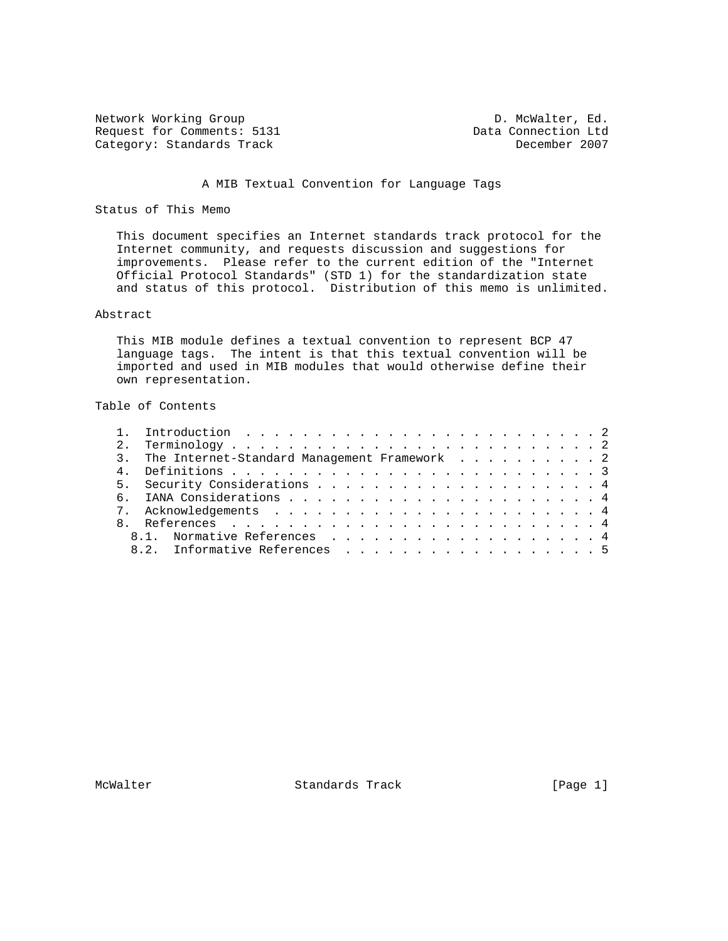Network Working Group D. McWalter, Ed. Request for Comments: 5131 Data Connection Ltd Category: Standards Track December 2007 Category: Standards Track

# A MIB Textual Convention for Language Tags

### Status of This Memo

 This document specifies an Internet standards track protocol for the Internet community, and requests discussion and suggestions for improvements. Please refer to the current edition of the "Internet Official Protocol Standards" (STD 1) for the standardization state and status of this protocol. Distribution of this memo is unlimited.

## Abstract

 This MIB module defines a textual convention to represent BCP 47 language tags. The intent is that this textual convention will be imported and used in MIB modules that would otherwise define their own representation.

# Table of Contents

| 3. The Internet-Standard Management Framework 2 |
|-------------------------------------------------|
|                                                 |
|                                                 |
|                                                 |
|                                                 |
|                                                 |
| 8.1. Normative References 4                     |
| 8.2. Informative References 5                   |

McWalter **Standards Track** [Page 1]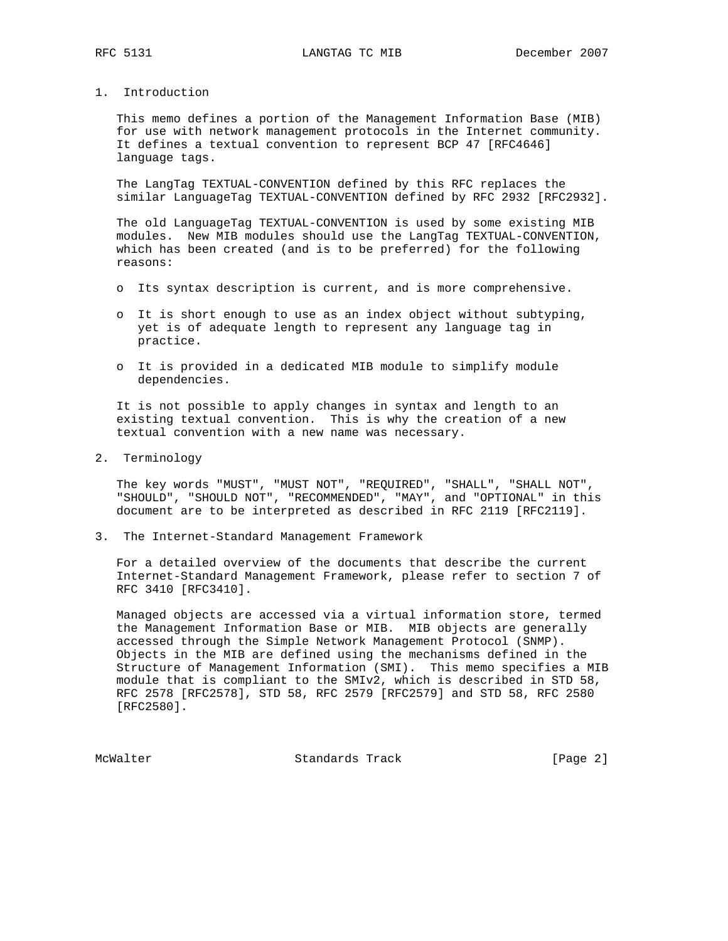1. Introduction

 This memo defines a portion of the Management Information Base (MIB) for use with network management protocols in the Internet community. It defines a textual convention to represent BCP 47 [RFC4646] language tags.

 The LangTag TEXTUAL-CONVENTION defined by this RFC replaces the similar LanguageTag TEXTUAL-CONVENTION defined by RFC 2932 [RFC2932].

 The old LanguageTag TEXTUAL-CONVENTION is used by some existing MIB modules. New MIB modules should use the LangTag TEXTUAL-CONVENTION, which has been created (and is to be preferred) for the following reasons:

- o Its syntax description is current, and is more comprehensive.
- o It is short enough to use as an index object without subtyping, yet is of adequate length to represent any language tag in practice.
- o It is provided in a dedicated MIB module to simplify module dependencies.

 It is not possible to apply changes in syntax and length to an existing textual convention. This is why the creation of a new textual convention with a new name was necessary.

2. Terminology

 The key words "MUST", "MUST NOT", "REQUIRED", "SHALL", "SHALL NOT", "SHOULD", "SHOULD NOT", "RECOMMENDED", "MAY", and "OPTIONAL" in this document are to be interpreted as described in RFC 2119 [RFC2119].

3. The Internet-Standard Management Framework

 For a detailed overview of the documents that describe the current Internet-Standard Management Framework, please refer to section 7 of RFC 3410 [RFC3410].

 Managed objects are accessed via a virtual information store, termed the Management Information Base or MIB. MIB objects are generally accessed through the Simple Network Management Protocol (SNMP). Objects in the MIB are defined using the mechanisms defined in the Structure of Management Information (SMI). This memo specifies a MIB module that is compliant to the SMIv2, which is described in STD 58, RFC 2578 [RFC2578], STD 58, RFC 2579 [RFC2579] and STD 58, RFC 2580 [RFC2580].

McWalter Standards Track [Page 2]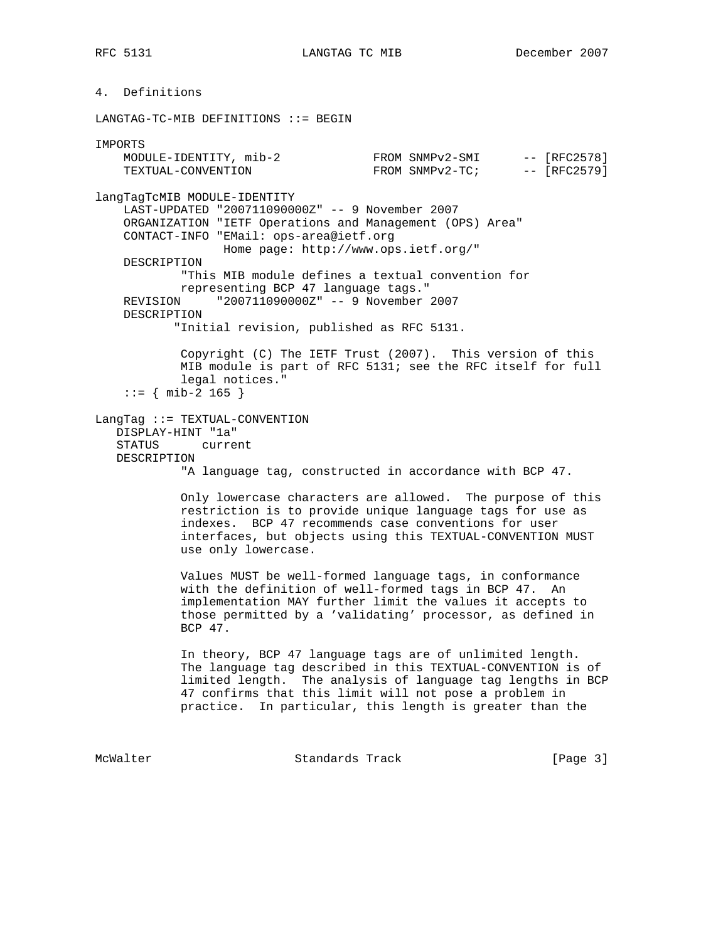RFC 5131 LANGTAG TC MIB December 2007

4. Definitions

LANGTAG-TC-MIB DEFINITIONS ::= BEGIN

IMPORTS MODULE-IDENTITY, mib-2 FROM SNMPv2-SMI -- [RFC2578] TEXTUAL-CONVENTION FROM SNMPv2-TC; - [RFC2579] langTagTcMIB MODULE-IDENTITY LAST-UPDATED "200711090000Z" -- 9 November 2007 ORGANIZATION "IETF Operations and Management (OPS) Area" CONTACT-INFO "EMail: ops-area@ietf.org Home page: http://www.ops.ietf.org/" DESCRIPTION "This MIB module defines a textual convention for representing BCP 47 language tags." REVISION "200711090000Z" -- 9 November 2007 DESCRIPTION "Initial revision, published as RFC 5131. Copyright (C) The IETF Trust (2007). This version of this MIB module is part of RFC 5131; see the RFC itself for full legal notices."  $::=$  { mib-2 165 } LangTag ::= TEXTUAL-CONVENTION DISPLAY-HINT "1a" STATUS current DESCRIPTION "A language tag, constructed in accordance with BCP 47. Only lowercase characters are allowed. The purpose of this restriction is to provide unique language tags for use as indexes. BCP 47 recommends case conventions for user interfaces, but objects using this TEXTUAL-CONVENTION MUST use only lowercase. Values MUST be well-formed language tags, in conformance with the definition of well-formed tags in BCP 47. An implementation MAY further limit the values it accepts to those permitted by a 'validating' processor, as defined in BCP 47. In theory, BCP 47 language tags are of unlimited length. The language tag described in this TEXTUAL-CONVENTION is of limited length. The analysis of language tag lengths in BCP 47 confirms that this limit will not pose a problem in practice. In particular, this length is greater than the

McWalter **Standards Track** 1999 (Page 3)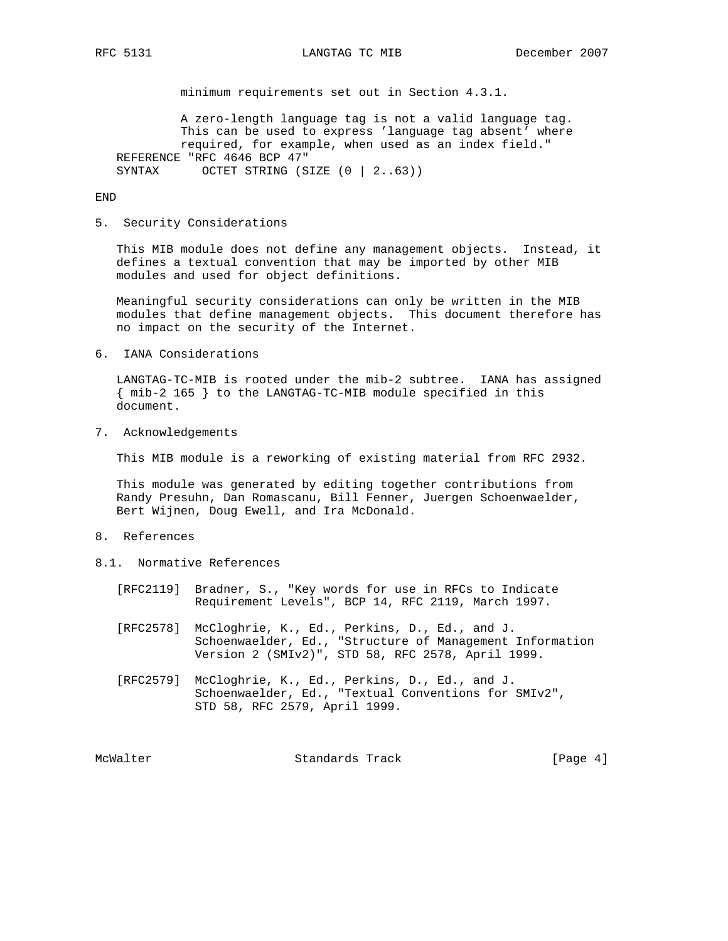minimum requirements set out in Section 4.3.1.

 A zero-length language tag is not a valid language tag. This can be used to express 'language tag absent' where required, for example, when used as an index field." REFERENCE "RFC 4646 BCP 47" SYNTAX OCTET STRING (SIZE (0 | 2..63))

END

#### 5. Security Considerations

 This MIB module does not define any management objects. Instead, it defines a textual convention that may be imported by other MIB modules and used for object definitions.

 Meaningful security considerations can only be written in the MIB modules that define management objects. This document therefore has no impact on the security of the Internet.

6. IANA Considerations

 LANGTAG-TC-MIB is rooted under the mib-2 subtree. IANA has assigned { mib-2 165 } to the LANGTAG-TC-MIB module specified in this document.

7. Acknowledgements

This MIB module is a reworking of existing material from RFC 2932.

 This module was generated by editing together contributions from Randy Presuhn, Dan Romascanu, Bill Fenner, Juergen Schoenwaelder, Bert Wijnen, Doug Ewell, and Ira McDonald.

- 8. References
- 8.1. Normative References
	- [RFC2119] Bradner, S., "Key words for use in RFCs to Indicate Requirement Levels", BCP 14, RFC 2119, March 1997.
	- [RFC2578] McCloghrie, K., Ed., Perkins, D., Ed., and J. Schoenwaelder, Ed., "Structure of Management Information Version 2 (SMIv2)", STD 58, RFC 2578, April 1999.
	- [RFC2579] McCloghrie, K., Ed., Perkins, D., Ed., and J. Schoenwaelder, Ed., "Textual Conventions for SMIv2", STD 58, RFC 2579, April 1999.

McWalter **Standards Track** 1996 [Page 4]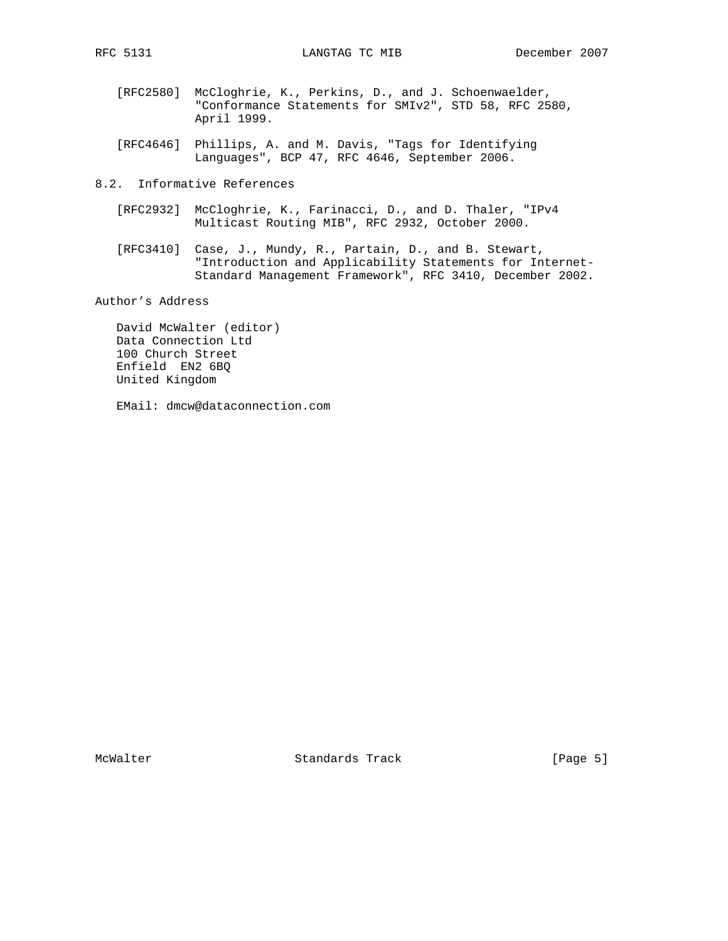RFC 5131 LANGTAG TC MIB December 2007

- [RFC2580] McCloghrie, K., Perkins, D., and J. Schoenwaelder, "Conformance Statements for SMIv2", STD 58, RFC 2580, April 1999.
- [RFC4646] Phillips, A. and M. Davis, "Tags for Identifying Languages", BCP 47, RFC 4646, September 2006.
- 8.2. Informative References
	- [RFC2932] McCloghrie, K., Farinacci, D., and D. Thaler, "IPv4 Multicast Routing MIB", RFC 2932, October 2000.
- [RFC3410] Case, J., Mundy, R., Partain, D., and B. Stewart, "Introduction and Applicability Statements for Internet- Standard Management Framework", RFC 3410, December 2002.

Author's Address

 David McWalter (editor) Data Connection Ltd 100 Church Street Enfield EN2 6BQ United Kingdom

EMail: dmcw@dataconnection.com

McWalter Standards Track [Page 5]